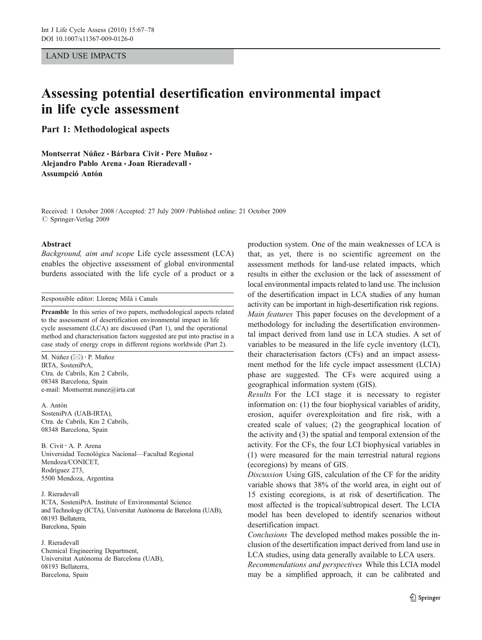# LAND USE IMPACTS

# Assessing potential desertification environmental impact in life cycle assessment

Part 1: Methodological aspects

Montserrat Núñez · Bárbara Civit · Pere Muñoz · Alejandro Pablo Arena · Joan Rieradevall · Assumpció Antón

Received: 1 October 2008 /Accepted: 27 July 2009 / Published online: 21 October 2009  $\oslash$  Springer-Verlag 2009

## Abstract

Background, aim and scope Life cycle assessment (LCA) enables the objective assessment of global environmental burdens associated with the life cycle of a product or a

#### Responsible editor: Llorenç Milà i Canals

Preamble In this series of two papers, methodological aspects related to the assessment of desertification environmental impact in life cycle assessment (LCA) are discussed (Part 1), and the operational method and characterisation factors suggested are put into practise in a case study of energy crops in different regions worldwide (Part 2).

M. Núñez (*\**) : P. Muñoz IRTA, SosteniPrA, Ctra. de Cabrils, Km 2 Cabrils, 08348 Barcelona, Spain e-mail: Montserrat.nunez@irta.cat

A. Antón SosteniPrA (UAB-IRTA), Ctra. de Cabrils, Km 2 Cabrils, 08348 Barcelona, Spain

B. Civit : A. P. Arena Universidad Tecnológica Nacional—Facultad Regional Mendoza/CONICET, Rodríguez 273, 5500 Mendoza, Argentina

J. Rieradevall ICTA, SosteniPrA. Institute of Environmental Science and Technology (ICTA), Universitat Autònoma de Barcelona (UAB), 08193 Bellaterra, Barcelona, Spain

J. Rieradevall Chemical Engineering Department, Universitat Autònoma de Barcelona (UAB), 08193 Bellaterra, Barcelona, Spain

production system. One of the main weaknesses of LCA is that, as yet, there is no scientific agreement on the assessment methods for land-use related impacts, which results in either the exclusion or the lack of assessment of local environmental impacts related to land use. The inclusion of the desertification impact in LCA studies of any human activity can be important in high-desertification risk regions. Main features This paper focuses on the development of a methodology for including the desertification environmental impact derived from land use in LCA studies. A set of variables to be measured in the life cycle inventory (LCI), their characterisation factors (CFs) and an impact assessment method for the life cycle impact assessment (LCIA) phase are suggested. The CFs were acquired using a geographical information system (GIS).

Results For the LCI stage it is necessary to register information on: (1) the four biophysical variables of aridity, erosion, aquifer overexploitation and fire risk, with a created scale of values; (2) the geographical location of the activity and (3) the spatial and temporal extension of the activity. For the CFs, the four LCI biophysical variables in (1) were measured for the main terrestrial natural regions (ecoregions) by means of GIS.

Discussion Using GIS, calculation of the CF for the aridity variable shows that 38% of the world area, in eight out of 15 existing ecoregions, is at risk of desertification. The most affected is the tropical/subtropical desert. The LCIA model has been developed to identify scenarios without desertification impact.

Conclusions The developed method makes possible the inclusion of the desertification impact derived from land use in LCA studies, using data generally available to LCA users.

Recommendations and perspectives While this LCIA model may be a simplified approach, it can be calibrated and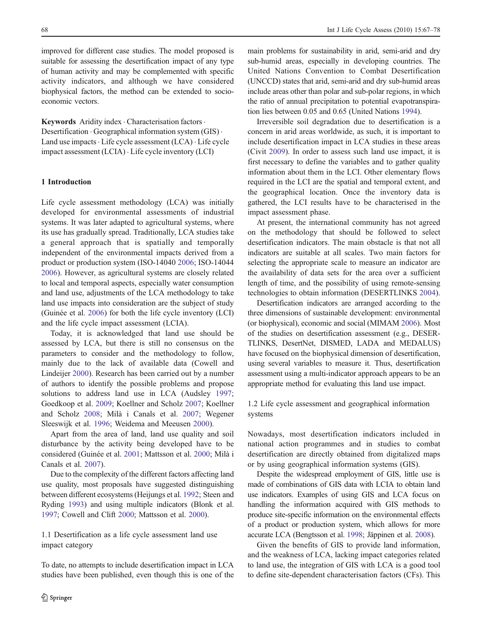improved for different case studies. The model proposed is suitable for assessing the desertification impact of any type of human activity and may be complemented with specific activity indicators, and although we have considered biophysical factors, the method can be extended to socioeconomic vectors.

Keywords Aridity index · Characterisation factors · Desertification . Geographical information system (GIS) . Land use impacts  $\cdot$  Life cycle assessment (LCA)  $\cdot$  Life cycle impact assessment (LCIA) . Life cycle inventory (LCI)

# 1 Introduction

Life cycle assessment methodology (LCA) was initially developed for environmental assessments of industrial systems. It was later adapted to agricultural systems, where its use has gradually spread. Traditionally, LCA studies take a general approach that is spatially and temporally independent of the environmental impacts derived from a product or production system (ISO-14040 [2006;](#page-10-0) ISO-14044 [2006\)](#page-10-0). However, as agricultural systems are closely related to local and temporal aspects, especially water consumption and land use, adjustments of the LCA methodology to take land use impacts into consideration are the subject of study (Guinée et al. [2006\)](#page-10-0) for both the life cycle inventory (LCI) and the life cycle impact assessment (LCIA).

Today, it is acknowledged that land use should be assessed by LCA, but there is still no consensus on the parameters to consider and the methodology to follow, mainly due to the lack of available data (Cowell and Lindeijer [2000\)](#page-9-0). Research has been carried out by a number of authors to identify the possible problems and propose solutions to address land use in LCA (Audsley [1997](#page-9-0); Goedkoop et al. [2009](#page-10-0); Koellner and Scholz [2007;](#page-10-0) Koellner and Scholz [2008;](#page-10-0) Milà i Canals et al. [2007;](#page-10-0) Wegener Sleeswijk et al. [1996;](#page-11-0) Weidema and Meeusen [2000\)](#page-11-0).

Apart from the area of land, land use quality and soil disturbance by the activity being developed have to be considered (Guinée et al. [2001](#page-10-0); Mattsson et al. [2000;](#page-10-0) Milà i Canals et al. [2007](#page-10-0)).

Due to the complexity of the different factors affecting land use quality, most proposals have suggested distinguishing between different ecosystems (Heijungs et al. [1992;](#page-10-0) Steen and Ryding [1993\)](#page-10-0) and using multiple indicators (Blonk et al. [1997;](#page-9-0) Cowell and Clift [2000;](#page-9-0) Mattsson et al. [2000\)](#page-10-0).

# 1.1 Desertification as a life cycle assessment land use impact category

To date, no attempts to include desertification impact in LCA studies have been published, even though this is one of the

main problems for sustainability in arid, semi-arid and dry sub-humid areas, especially in developing countries. The United Nations Convention to Combat Desertification (UNCCD) states that arid, semi-arid and dry sub-humid areas include areas other than polar and sub-polar regions, in which the ratio of annual precipitation to potential evapotranspiration lies between 0.05 and 0.65 (United Nations [1994\)](#page-10-0).

Irreversible soil degradation due to desertification is a concern in arid areas worldwide, as such, it is important to include desertification impact in LCA studies in these areas (Civit [2009\)](#page-9-0). In order to assess such land use impact, it is first necessary to define the variables and to gather quality information about them in the LCI. Other elementary flows required in the LCI are the spatial and temporal extent, and the geographical location. Once the inventory data is gathered, the LCI results have to be characterised in the impact assessment phase.

At present, the international community has not agreed on the methodology that should be followed to select desertification indicators. The main obstacle is that not all indicators are suitable at all scales. Two main factors for selecting the appropriate scale to measure an indicator are the availability of data sets for the area over a sufficient length of time, and the possibility of using remote-sensing technologies to obtain information (DESERTLINKS [2004\)](#page-9-0).

Desertification indicators are arranged according to the three dimensions of sustainable development: environmental (or biophysical), economic and social (MIMAM [2006\)](#page-10-0). Most of the studies on desertification assessment (e.g., DESER-TLINKS, DesertNet, DISMED, LADA and MEDALUS) have focused on the biophysical dimension of desertification, using several variables to measure it. Thus, desertification assessment using a multi-indicator approach appears to be an appropriate method for evaluating this land use impact.

1.2 Life cycle assessment and geographical information systems

Nowadays, most desertification indicators included in national action programmes and in studies to combat desertification are directly obtained from digitalized maps or by using geographical information systems (GIS).

Despite the widespread employment of GIS, little use is made of combinations of GIS data with LCIA to obtain land use indicators. Examples of using GIS and LCA focus on handling the information acquired with GIS methods to produce site-specific information on the environmental effects of a product or production system, which allows for more accurate LCA (Bengtsson et al. [1998](#page-9-0); Jäppinen et al. [2008\)](#page-10-0).

Given the benefits of GIS to provide land information, and the weakness of LCA, lacking impact categories related to land use, the integration of GIS with LCA is a good tool to define site-dependent characterisation factors (CFs). This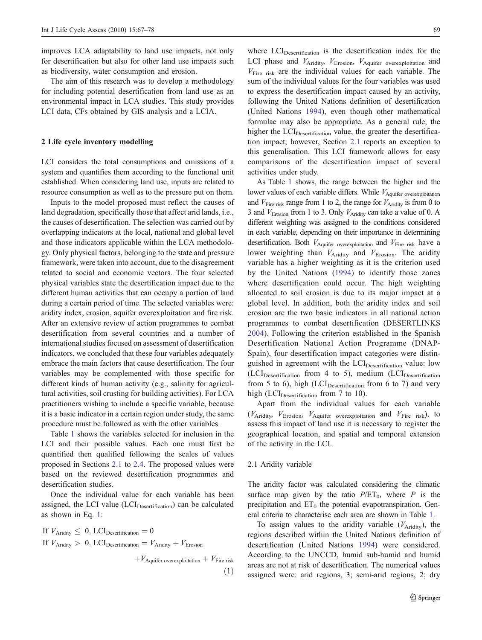<span id="page-2-0"></span>improves LCA adaptability to land use impacts, not only for desertification but also for other land use impacts such as biodiversity, water consumption and erosion.

The aim of this research was to develop a methodology for including potential desertification from land use as an environmental impact in LCA studies. This study provides LCI data, CFs obtained by GIS analysis and a LCIA.

#### 2 Life cycle inventory modelling

LCI considers the total consumptions and emissions of a system and quantifies them according to the functional unit established. When considering land use, inputs are related to resource consumption as well as to the pressure put on them.

Inputs to the model proposed must reflect the causes of land degradation, specifically those that affect arid lands, i.e., the causes of desertification. The selection was carried out by overlapping indicators at the local, national and global level and those indicators applicable within the LCA methodology. Only physical factors, belonging to the state and pressure framework, were taken into account, due to the disagreement related to social and economic vectors. The four selected physical variables state the desertification impact due to the different human activities that can occupy a portion of land during a certain period of time. The selected variables were: aridity index, erosion, aquifer overexploitation and fire risk. After an extensive review of action programmes to combat desertification from several countries and a number of international studies focused on assessment of desertification indicators, we concluded that these four variables adequately embrace the main factors that cause desertification. The four variables may be complemented with those specific for different kinds of human activity (e.g., salinity for agricultural activities, soil crusting for building activities). For LCA practitioners wishing to include a specific variable, because it is a basic indicator in a certain region under study, the same procedure must be followed as with the other variables.

Table [1](#page-3-0) shows the variables selected for inclusion in the LCI and their possible values. Each one must first be quantified then qualified following the scales of values proposed in Sections 2.1 to [2.4](#page-4-0). The proposed values were based on the reviewed desertification programmes and desertification studies.

Once the individual value for each variable has been assigned, the LCI value  $(LCI_{Desertification})$  can be calculated as shown in Eq. 1:

If 
$$
V_{\text{Aridity}} \leq 0
$$
, LCI<sub>Desertification</sub> = 0  
If  $V_{\text{Aridity}} > 0$ , LCI<sub>Desertification</sub> =  $V_{\text{Aridity}} + V_{\text{Erosion}}$   
+ $V_{\text{Aquifer overexploitation}} + V_{\text{Fire risk}}$ 

where LCI<sub>Desertification</sub> is the desertification index for the LCI phase and  $V_{\text{Aridity}}$ ,  $V_{\text{Erosion}}$ ,  $V_{\text{Aquifer}}$  overexploitation and  $V_{\text{Fire risk}}$  are the individual values for each variable. The sum of the individual values for the four variables was used to express the desertification impact caused by an activity, following the United Nations definition of desertification (United Nations [1994\)](#page-10-0), even though other mathematical formulae may also be appropriate. As a general rule, the higher the LCI<sub>Desertification</sub> value, the greater the desertification impact; however, Section 2.1 reports an exception to this generalisation. This LCI framework allows for easy comparisons of the desertification impact of several activities under study.

As Table [1](#page-3-0) shows, the range between the higher and the lower values of each variable differs. While  $V_{\text{Aquifer overexplotation}}$ and  $V_{\text{Fire risk}}$  range from 1 to 2, the range for  $V_{\text{Aridity}}$  is from 0 to 3 and  $V_{\text{Frosion}}$  from 1 to 3. Only  $V_{\text{Aridity}}$  can take a value of 0. A different weighting was assigned to the conditions considered in each variable, depending on their importance in determining desertification. Both  $V_{\text{Aquifer}}$  overexploitation and  $V_{\text{Fire risk}}$  have a lower weighting than  $V_{\text{Aridity}}$  and  $V_{\text{Erosion}}$ . The aridity variable has a higher weighting as it is the criterion used by the United Nations ([1994](#page-10-0)) to identify those zones where desertification could occur. The high weighting allocated to soil erosion is due to its major impact at a global level. In addition, both the aridity index and soil erosion are the two basic indicators in all national action programmes to combat desertification (DESERTLINKS [2004](#page-9-0)). Following the criterion established in the Spanish Desertification National Action Programme (DNAP-Spain), four desertification impact categories were distinguished in agreement with the LCI<sub>Desertification</sub> value: low (LCI<sub>Desertification</sub> from 4 to 5), medium (LCI<sub>Desertification</sub> from 5 to 6), high (LCI $_{\text{Desertification}}$  from 6 to 7) and very high (LCI $_{Desertification}$  from 7 to 10).

Apart from the individual values for each variable ( $V_{\text{Aridity}}$ ,  $V_{\text{Erosion}}$ ,  $V_{\text{Aquifer}}$  overexploitation and  $V_{\text{Fire risk}}$ ), to assess this impact of land use it is necessary to register the geographical location, and spatial and temporal extension of the activity in the LCI.

#### 2.1 Aridity variable

 $(1)$ 

The aridity factor was calculated considering the climatic surface map given by the ratio  $P/\text{ET}_0$ , where P is the precipitation and  $ET_0$  the potential evapotranspiration. General criteria to characterise each area are shown in Table [1](#page-3-0).

To assign values to the aridity variable  $(V_{\text{Aridity}})$ , the regions described within the United Nations definition of desertification (United Nations [1994](#page-10-0)) were considered. According to the UNCCD, humid sub-humid and humid areas are not at risk of desertification. The numerical values assigned were: arid regions, 3; semi-arid regions, 2; dry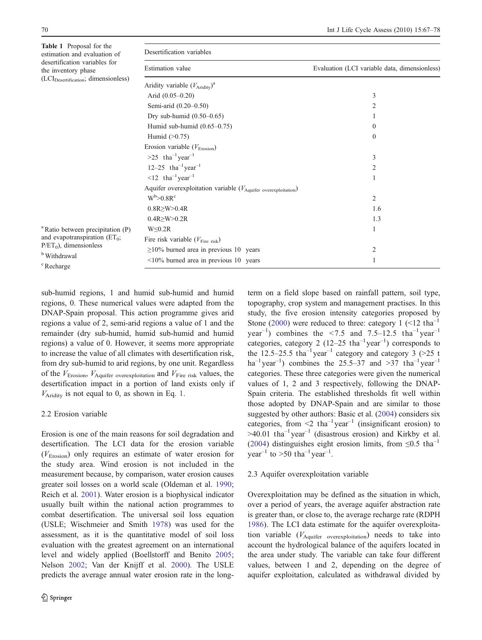<span id="page-3-0"></span>

| <b>Table 1</b> Proposal for the<br>estimation and evaluation of                                                                        | Desertification variables                                                                  |                                               |  |  |  |
|----------------------------------------------------------------------------------------------------------------------------------------|--------------------------------------------------------------------------------------------|-----------------------------------------------|--|--|--|
| desertification variables for<br>the inventory phase                                                                                   | Estimation value                                                                           | Evaluation (LCI variable data, dimensionless) |  |  |  |
| (LCI <sub>Desertification</sub> ; dimensionless)                                                                                       | Aridity variable $(V_{\text{Aridity}})^a$                                                  |                                               |  |  |  |
|                                                                                                                                        | Arid $(0.05 - 0.20)$<br>Semi-arid (0.20-0.50)                                              | 3<br>2                                        |  |  |  |
|                                                                                                                                        | Dry sub-humid $(0.50-0.65)$                                                                |                                               |  |  |  |
|                                                                                                                                        | Humid sub-humid $(0.65-0.75)$<br>Humid $(>0.75)$                                           | $\theta$<br>$\boldsymbol{0}$                  |  |  |  |
|                                                                                                                                        | Erosion variable $(V_{\text{Erosion}})$                                                    |                                               |  |  |  |
|                                                                                                                                        | $>25$ tha <sup>-1</sup> year <sup>-1</sup>                                                 | 3                                             |  |  |  |
|                                                                                                                                        | 12-25 $\text{tha}^{-1} \text{ year}^{-1}$<br>$12$ tha <sup>-1</sup> year <sup>-1</sup>     | 2                                             |  |  |  |
|                                                                                                                                        | Aquifer overexploitation variable (VAquifer overexploitation)                              |                                               |  |  |  |
|                                                                                                                                        | $W^b > 0.8R^c$<br>$0.8R \ge W > 0.4R$                                                      | 2<br>1.6                                      |  |  |  |
|                                                                                                                                        | $0.4R \ge W > 0.2R$                                                                        | 1.3                                           |  |  |  |
| <sup>a</sup> Ratio between precipitation (P)<br>and evapotranspiration $(ET_0;$<br>$P/ET_0$ , dimensionless<br><sup>b</sup> Withdrawal | $W \leq 0.2R$                                                                              |                                               |  |  |  |
|                                                                                                                                        | Fire risk variable $(V_{\text{Fire risk}})$<br>$\geq$ 10% burned area in previous 10 years | 2                                             |  |  |  |
| <sup>c</sup> Recharge                                                                                                                  | $\leq 10\%$ burned area in previous 10 years                                               |                                               |  |  |  |

sub-humid regions, 1 and humid sub-humid and humid regions, 0. These numerical values were adapted from the DNAP-Spain proposal. This action programme gives arid regions a value of 2, semi-arid regions a value of 1 and the remainder (dry sub-humid, humid sub-humid and humid regions) a value of 0. However, it seems more appropriate to increase the value of all climates with desertification risk, from dry sub-humid to arid regions, by one unit. Regardless of the  $V_{\text{Erosion}}$ ,  $V_{\text{Aquifer overexploitation}}$  and  $V_{\text{Fire risk}}$  values, the desertification impact in a portion of land exists only if  $V_{\text{Aridity}}$  is not equal to 0, as shown in Eq. [1.](#page-2-0)

#### 2.2 Erosion variable

Erosion is one of the main reasons for soil degradation and desertification. The LCI data for the erosion variable  $(V_{\text{Erosion}})$  only requires an estimate of water erosion for the study area. Wind erosion is not included in the measurement because, by comparison, water erosion causes greater soil losses on a world scale (Oldeman et al. [1990](#page-10-0); Reich et al. [2001](#page-10-0)). Water erosion is a biophysical indicator usually built within the national action programmes to combat desertification. The universal soil loss equation (USLE; Wischmeier and Smith [1978\)](#page-11-0) was used for the assessment, as it is the quantitative model of soil loss evaluation with the greatest agreement on an international level and widely applied (Boellstorff and Benito [2005](#page-9-0); Nelson [2002;](#page-10-0) Van der Knijff et al. [2000\)](#page-11-0). The USLE predicts the average annual water erosion rate in the longterm on a field slope based on rainfall pattern, soil type, topography, crop system and management practises. In this study, the five erosion intensity categories proposed by Stone [\(2000](#page-10-0)) were reduced to three: category  $1 \approx 12$  tha<sup>-1</sup> year<sup>-1</sup>) combines the <7.5 and 7.5-12.5 tha<sup>-1</sup>year<sup>-1</sup> categories, category 2  $(12-25 \text{ tha}^{-1})$  corresponds to the 12.5–25.5 tha<sup>-1</sup> year<sup>-1</sup> category and category 3 (>25 t ha<sup>-1</sup> year<sup>-1</sup>) combines the 25.5-37 and >37 tha<sup>-1</sup> year<sup>-1</sup> categories. These three categories were given the numerical values of 1, 2 and 3 respectively, following the DNAP-Spain criteria. The established thresholds fit well within those adopted by DNAP-Spain and are similar to those suggested by other authors: Basic et al. [\(2004](#page-9-0)) considers six categories, from  $\leq 2$  tha<sup>-1</sup> year<sup>-1</sup> (insignificant erosion) to  $>40.01$  tha<sup>-1</sup> year<sup>-1</sup> (disastrous erosion) and Kirkby et al. [\(2004](#page-10-0)) distinguishes eight erosion limits, from  $\leq 0.5$  tha<sup>-1</sup> year<sup>-1</sup> to >50 tha<sup>-1</sup> year<sup>-1</sup>.

# 2.3 Aquifer overexploitation variable

Overexploitation may be defined as the situation in which, over a period of years, the average aquifer abstraction rate is greater than, or close to, the average recharge rate (RDPH [1986](#page-10-0)). The LCI data estimate for the aquifer overexploitation variable  $(V_{\text{Aquifer}})$  overexploitation) needs to take into account the hydrological balance of the aquifers located in the area under study. The variable can take four different values, between 1 and 2, depending on the degree of aquifer exploitation, calculated as withdrawal divided by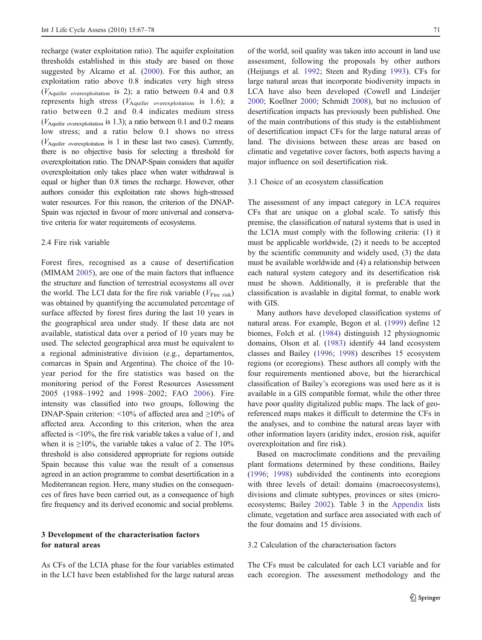<span id="page-4-0"></span>recharge (water exploitation ratio). The aquifer exploitation thresholds established in this study are based on those suggested by Alcamo et al. ([2000\)](#page-9-0). For this author, an exploitation ratio above 0.8 indicates very high stress (VAquifer overexploitation is 2); a ratio between 0.4 and 0.8 represents high stress  $(V_{\text{Aquifer}}$  overexploitation is 1.6); a ratio between 0.2 and 0.4 indicates medium stress  $(V_{\text{Aquifer overexploitation}}$  is 1.3); a ratio between 0.1 and 0.2 means low stress; and a ratio below 0.1 shows no stress  $(V_{\text{Aquifer overexulation}})$  is 1 in these last two cases). Currently, there is no objective basis for selecting a threshold for overexploitation ratio. The DNAP-Spain considers that aquifer overexploitation only takes place when water withdrawal is equal or higher than 0.8 times the recharge. However, other authors consider this exploitation rate shows high-stressed water resources. For this reason, the criterion of the DNAP-Spain was rejected in favour of more universal and conservative criteria for water requirements of ecosystems.

## 2.4 Fire risk variable

Forest fires, recognised as a cause of desertification (MIMAM [2005](#page-10-0)), are one of the main factors that influence the structure and function of terrestrial ecosystems all over the world. The LCI data for the fire risk variable ( $V_{\text{Fire risk}}$ ) was obtained by quantifying the accumulated percentage of surface affected by forest fires during the last 10 years in the geographical area under study. If these data are not available, statistical data over a period of 10 years may be used. The selected geographical area must be equivalent to a regional administrative division (e.g., departamentos, comarcas in Spain and Argentina). The choice of the 10 year period for the fire statistics was based on the monitoring period of the Forest Resources Assessment 2005 (1988–1992 and 1998–2002; FAO [2006](#page-10-0)). Fire intensity was classified into two groups, following the DNAP-Spain criterion: <10% of affected area and ≥10% of affected area. According to this criterion, when the area affected is <10%, the fire risk variable takes a value of 1, and when it is  $\geq 10\%$ , the variable takes a value of 2. The 10% threshold is also considered appropriate for regions outside Spain because this value was the result of a consensus agreed in an action programme to combat desertification in a Mediterranean region. Here, many studies on the consequences of fires have been carried out, as a consequence of high fire frequency and its derived economic and social problems.

# 3 Development of the characterisation factors for natural areas

As CFs of the LCIA phase for the four variables estimated in the LCI have been established for the large natural areas of the world, soil quality was taken into account in land use assessment, following the proposals by other authors (Heijungs et al. [1992;](#page-10-0) Steen and Ryding [1993\)](#page-10-0). CFs for large natural areas that incorporate biodiversity impacts in LCA have also been developed (Cowell and Lindeijer [2000](#page-9-0); Koellner [2000](#page-10-0); Schmidt [2008](#page-10-0)), but no inclusion of desertification impacts has previously been published. One of the main contributions of this study is the establishment of desertification impact CFs for the large natural areas of land. The divisions between these areas are based on climatic and vegetative cover factors, both aspects having a major influence on soil desertification risk.

## 3.1 Choice of an ecosystem classification

The assessment of any impact category in LCA requires CFs that are unique on a global scale. To satisfy this premise, the classification of natural systems that is used in the LCIA must comply with the following criteria: (1) it must be applicable worldwide, (2) it needs to be accepted by the scientific community and widely used, (3) the data must be available worldwide and (4) a relationship between each natural system category and its desertification risk must be shown. Additionally, it is preferable that the classification is available in digital format, to enable work with GIS.

Many authors have developed classification systems of natural areas. For example, Begon et al. ([1999\)](#page-9-0) define 12 biomes, Folch et al. ([1984\)](#page-10-0) distinguish 12 physiognomic domains, Olson et al. ([1983\)](#page-10-0) identify 44 land ecosystem classes and Bailey [\(1996](#page-9-0); [1998\)](#page-9-0) describes 15 ecosystem regions (or ecoregions). These authors all comply with the four requirements mentioned above, but the hierarchical classification of Bailey's ecoregions was used here as it is available in a GIS compatible format, while the other three have poor quality digitalized public maps. The lack of georeferenced maps makes it difficult to determine the CFs in the analyses, and to combine the natural areas layer with other information layers (aridity index, erosion risk, aquifer overexploitation and fire risk).

Based on macroclimate conditions and the prevailing plant formations determined by these conditions, Bailey [\(1996](#page-9-0); [1998\)](#page-9-0) subdivided the continents into ecoregions with three levels of detail: domains (macroecosystems), divisions and climate subtypes, provinces or sites (microecosystems; Bailey [2002\)](#page-9-0). Table 3 in the [Appendix](#page-8-0) lists climate, vegetation and surface area associated with each of the four domains and 15 divisions.

## 3.2 Calculation of the characterisation factors

The CFs must be calculated for each LCI variable and for each ecoregion. The assessment methodology and the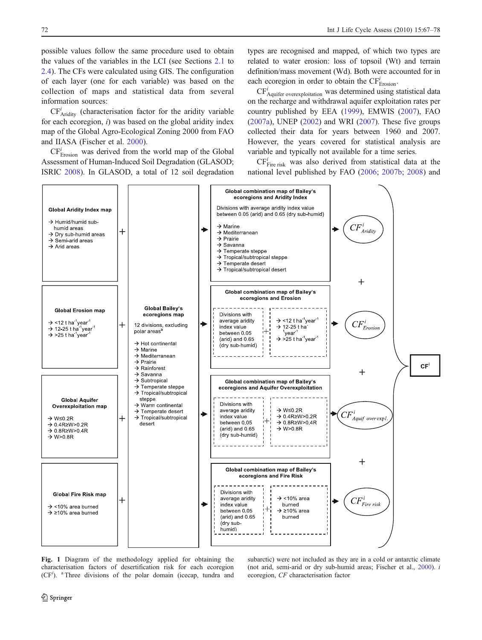<span id="page-5-0"></span>possible values follow the same procedure used to obtain the values of the variables in the LCI (see Sections [2.1](#page-2-0) to [2.4](#page-4-0)). The CFs were calculated using GIS. The configuration of each layer (one for each variable) was based on the collection of maps and statistical data from several information sources:

 $CF_{\text{Aridity}}^{i}$  (characterisation factor for the aridity variable for each ecoregion,  $i$ ) was based on the global aridity index map of the Global Agro-Ecological Zoning 2000 from FAO and IIASA (Fischer et al. [2000\)](#page-10-0).

 $CF_{Erosion}^i$  was derived from the world map of the Global Assessment of Human-Induced Soil Degradation (GLASOD; ISRIC [2008](#page-10-0)). In GLASOD, a total of 12 soil degradation

types are recognised and mapped, of which two types are related to water erosion: loss of topsoil (Wt) and terrain definition/mass movement (Wd). Both were accounted for in each ecoregion in order to obtain the  $CF_{Erosion}^i$ .

 $CF_{\text{Aquifer overexploitation}}^{i}$  was determined using statistical data on the recharge and withdrawal aquifer exploitation rates per country published by EEA ([1999](#page-9-0)), EMWIS [\(2007\)](#page-9-0), FAO [\(2007a](#page-10-0)), UNEP [\(2002](#page-10-0)) and WRI ([2007](#page-11-0)). These five groups collected their data for years between 1960 and 2007. However, the years covered for statistical analysis are variable and typically not available for a time series.

 $CF_{\text{Fire risk}}^{i}$  was also derived from statistical data at the national level published by FAO ([2006;](#page-10-0) [2007b;](#page-10-0) [2008](#page-10-0)) and



Fig. 1 Diagram of the methodology applied for obtaining the characterisation factors of desertification risk for each ecoregion  $(CF<sup>i</sup>)$ . <sup>a</sup> Three divisions of the polar domain (icecap, tundra and

subarctic) were not included as they are in a cold or antarctic climate (not arid, semi-arid or dry sub-humid areas; Fischer et al., [2000\)](#page-10-0). i ecoregion, CF characterisation factor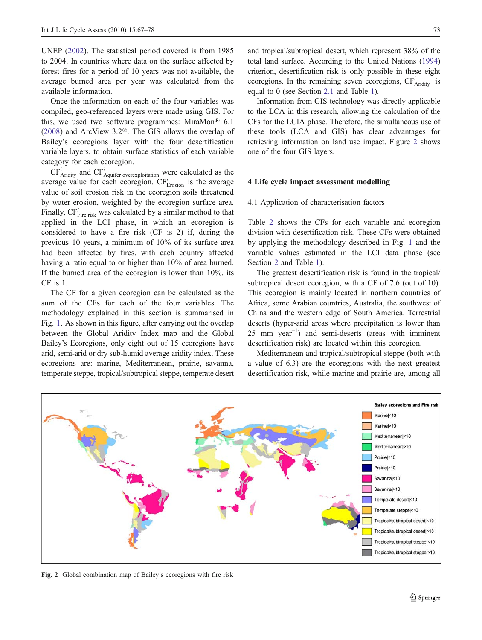UNEP ([2002\)](#page-10-0). The statistical period covered is from 1985 to 2004. In countries where data on the surface affected by forest fires for a period of 10 years was not available, the average burned area per year was calculated from the available information.

Once the information on each of the four variables was compiled, geo-referenced layers were made using GIS. For this, we used two software programmes: MiraMon® 6.1 [\(2008](#page-10-0)) and ArcView 3.2®. The GIS allows the overlap of Bailey's ecoregions layer with the four desertification variable layers, to obtain surface statistics of each variable category for each ecoregion.

 $CF_{\text{Aridity}}^i$  and  $CF_{\text{Aquifer overexploitation}}^i$  were calculated as the average value for each ecoregion.  $CF_{Erosion}^i$  is the average value of soil erosion risk in the ecoregion soils threatened by water erosion, weighted by the ecoregion surface area. Finally,  $CF_{\text{Fire risk}}^{i}$  was calculated by a similar method to that applied in the LCI phase, in which an ecoregion is considered to have a fire risk (CF is 2) if, during the previous 10 years, a minimum of 10% of its surface area had been affected by fires, with each country affected having a ratio equal to or higher than 10% of area burned. If the burned area of the ecoregion is lower than 10%, its CF is 1.

The CF for a given ecoregion can be calculated as the sum of the CFs for each of the four variables. The methodology explained in this section is summarised in Fig. [1.](#page-5-0) As shown in this figure, after carrying out the overlap between the Global Aridity Index map and the Global Bailey's Ecoregions, only eight out of 15 ecoregions have arid, semi-arid or dry sub-humid average aridity index. These ecoregions are: marine, Mediterranean, prairie, savanna, temperate steppe, tropical/subtropical steppe, temperate desert and tropical/subtropical desert, which represent 38% of the total land surface. According to the United Nations [\(1994](#page-10-0)) criterion, desertification risk is only possible in these eight ecoregions. In the remaining seven ecoregions,  $CF_{\text{Aridity}}^{i}$  is equal to 0 (see Section [2.1](#page-2-0) and Table [1\)](#page-3-0).

Information from GIS technology was directly applicable to the LCA in this research, allowing the calculation of the CFs for the LCIA phase. Therefore, the simultaneous use of these tools (LCA and GIS) has clear advantages for retrieving information on land use impact. Figure 2 shows one of the four GIS layers.

#### 4 Life cycle impact assessment modelling

## 4.1 Application of characterisation factors

Table [2](#page-7-0) shows the CFs for each variable and ecoregion division with desertification risk. These CFs were obtained by applying the methodology described in Fig. [1](#page-5-0) and the variable values estimated in the LCI data phase (see Section [2](#page-2-0) and Table [1](#page-3-0)).

The greatest desertification risk is found in the tropical/ subtropical desert ecoregion, with a CF of 7.6 (out of 10). This ecoregion is mainly located in northern countries of Africa, some Arabian countries, Australia, the southwest of China and the western edge of South America. Terrestrial deserts (hyper-arid areas where precipitation is lower than  $25$  mm year $^{-1}$ ) and semi-deserts (areas with imminent desertification risk) are located within this ecoregion.

Mediterranean and tropical/subtropical steppe (both with a value of 6.3) are the ecoregions with the next greatest desertification risk, while marine and prairie are, among all



Fig. 2 Global combination map of Bailey's ecoregions with fire risk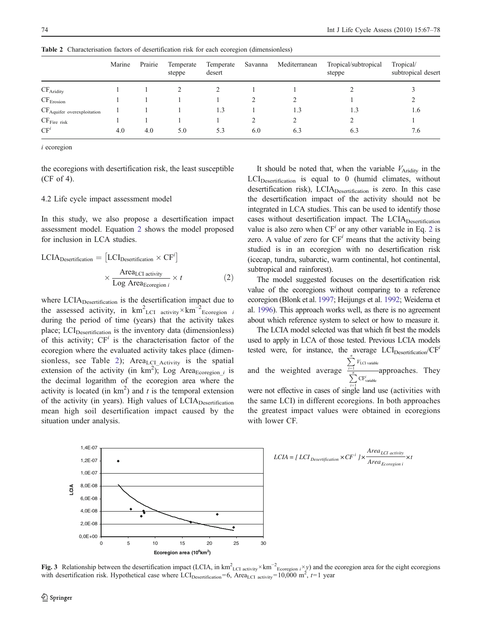|                                        | Marine | Prairie | Temperate<br>steppe | Temperate<br>desert | Savanna | Mediterranean | Tropical/subtropical<br>steppe | Tropical/<br>subtropical desert |
|----------------------------------------|--------|---------|---------------------|---------------------|---------|---------------|--------------------------------|---------------------------------|
| $CF_{\text{Aridity}}$                  |        |         |                     |                     |         |               |                                |                                 |
| $CF_{Erosion}$                         |        |         |                     |                     |         |               |                                |                                 |
| $CF_{\text{Aquifer overexploitation}}$ |        |         |                     | 1.3                 |         | 1.3           | 1.3                            | 1.6                             |
| $CF_{\text{Fire risk}}$                |        |         |                     |                     |         |               |                                |                                 |
| CF <sup>i</sup>                        | 4.0    | 4.0     | 5.0                 | 5.3                 | 6.0     | 6.3           | 6.3                            | 7.6                             |

<span id="page-7-0"></span>Table 2 Characterisation factors of desertification risk for each ecoregion (dimensionless)

i ecoregion

the ecoregions with desertification risk, the least susceptible (CF of 4).

## 4.2 Life cycle impact assessment model

In this study, we also propose a desertification impact assessment model. Equation 2 shows the model proposed for inclusion in LCA studies.

$$
LCIA_{Desertification} = [LCI_{Desertification} \times CF^{i}]
$$

$$
\times \frac{Area_{LCI activity}}{Log Area_{Ecoregion i}} \times t
$$
(2)

where LCIA<sub>Desertification</sub> is the desertification impact due to the assessed activity, in  $km^2$ <sub>LCI activity</sub>  $\times km^{-2}$ <sub>Ecoregion i</sub> during the period of time (years) that the activity takes place; LCI<sub>Desertification</sub> is the inventory data (dimensionless) of this activity;  $CF<sup>i</sup>$  is the characterisation factor of the ecoregion where the evaluated activity takes place (dimensionless, see Table 2);  $Area_{LCI\_Activity}$  is the spatial extension of the activity (in  $km^2$ ); Log Area<sub>Ecoregion<sub>1</sub> is</sub> the decimal logarithm of the ecoregion area where the activity is located (in  $km^2$ ) and t is the temporal extension of the activity (in years). High values of LCIA<sub>Desertification</sub> mean high soil desertification impact caused by the situation under analysis.

It should be noted that, when the variable  $V_{\text{Aridity}}$  in the  $LCI<sub>Desertification</sub>$  is equal to 0 (humid climates, without desertification risk), LCIA<sub>Desertification</sub> is zero. In this case the desertification impact of the activity should not be integrated in LCA studies. This can be used to identify those cases without desertification impact. The LCIA<sub>Desertification</sub> value is also zero when  $CF<sup>i</sup>$  or any other variable in Eq. 2 is zero. A value of zero for  $CF<sup>i</sup>$  means that the activity being studied is in an ecoregion with no desertification risk (icecap, tundra, subarctic, warm continental, hot continental, subtropical and rainforest).

The model suggested focuses on the desertification risk value of the ecoregions without comparing to a reference ecoregion (Blonk et al. [1997](#page-9-0); Heijungs et al. [1992](#page-10-0); Weidema et al. [1996](#page-11-0)). This approach works well, as there is no agreement about which reference system to select or how to measure it.

The LCIA model selected was that which fit best the models used to apply in LCA of those tested. Previous LCIA models tested were, for instance, the average  $LCI_{Desertification}/CF$ and the weighted average  $\sum_{i=1}^n$  $V_{\text{LCI}}$  variable  $\sum_{i=1}^n$  $CF_{\text{variable}}^i$ approaches. They

were not effective in cases of single land use (activities with the same LCI) in different ecoregions. In both approaches the greatest impact values were obtained in ecoregions with lower CF.



*Area*<sub>*Ecoregion i*</sub>  $\frac{Area_{LCI}}{Area_{Ecore,ij}\times CF}$ <sup>*i*</sup>  $] \times \frac{Area_{LCI}}{Area_{Ecore,ijon}} \times$ 

Fig. 3 Relationship between the desertification impact (LCIA, in  $km^2$ <sub>LCI activity</sub>×km<sup>-2</sup><sub>Ecoregion *i*×y) and the ecoregion area for the eight ecoregions</sub> with desertification risk. Hypothetical case where  $LCI_{Desertification} = 6$ , Area<sub>LCI activity</sub>=10,000 m<sup>2</sup>,  $t=1$  year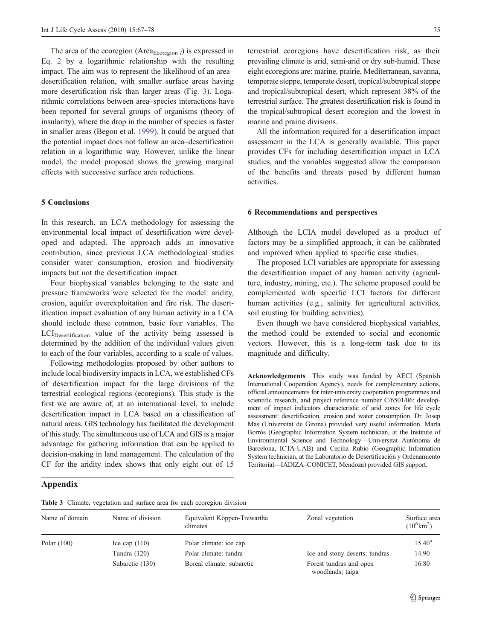<span id="page-8-0"></span>The area of the ecoregion (Area $_{\text{Ecoregion } i}$ ) is expressed in Eq. [2](#page-7-0) by a logarithmic relationship with the resulting impact. The aim was to represent the likelihood of an area– desertification relation, with smaller surface areas having more desertification risk than larger areas (Fig. [3\)](#page-7-0). Logarithmic correlations between area–species interactions have been reported for several groups of organisms (theory of insularity), where the drop in the number of species is faster in smaller areas (Begon et al. [1999](#page-9-0)). It could be argued that the potential impact does not follow an area–desertification relation in a logarithmic way. However, unlike the linear model, the model proposed shows the growing marginal effects with successive surface area reductions.

## 5 Conclusions

In this research, an LCA methodology for assessing the environmental local impact of desertification were developed and adapted. The approach adds an innovative contribution, since previous LCA methodological studies consider water consumption, erosion and biodiversity impacts but not the desertification impact.

Four biophysical variables belonging to the state and pressure frameworks were selected for the model: aridity, erosion, aquifer overexploitation and fire risk. The desertification impact evaluation of any human activity in a LCA should include these common, basic four variables. The LCI<sub>Desertification</sub> value of the activity being assessed is determined by the addition of the individual values given to each of the four variables, according to a scale of values.

Following methodologies proposed by other authors to include local biodiversity impacts in LCA, we established CFs of desertification impact for the large divisions of the terrestrial ecological regions (ecoregions). This study is the first we are aware of, at an international level, to include desertification impact in LCA based on a classification of natural areas. GIS technology has facilitated the development of this study. The simultaneous use of LCA and GIS is a major advantage for gathering information that can be applied to decision-making in land management. The calculation of the CF for the aridity index shows that only eight out of 15

terrestrial ecoregions have desertification risk, as their prevailing climate is arid, semi-arid or dry sub-humid. These eight ecoregions are: marine, prairie, Mediterranean, savanna, temperate steppe, temperate desert, tropical/subtropical steppe and tropical/subtropical desert, which represent 38% of the terrestrial surface. The greatest desertification risk is found in the tropical/subtropical desert ecoregion and the lowest in marine and prairie divisions.

All the information required for a desertification impact assessment in the LCA is generally available. This paper provides CFs for including desertification impact in LCA studies, and the variables suggested allow the comparison of the benefits and threats posed by different human activities.

#### 6 Recommendations and perspectives

Although the LCIA model developed as a product of factors may be a simplified approach, it can be calibrated and improved when applied to specific case studies.

The proposed LCI variables are appropriate for assessing the desertification impact of any human activity (agriculture, industry, mining, etc.). The scheme proposed could be complemented with specific LCI factors for different human activities (e.g., salinity for agricultural activities, soil crusting for building activities).

Even though we have considered biophysical variables, the method could be extended to social and economic vectors. However, this is a long-term task due to its magnitude and difficulty.

Acknowledgements This study was funded by AECI (Spanish International Cooperation Agency), needs for complementary actions, official announcements for inter-university cooperation programmes and scientific research, and project reference number C/6501/06: development of impact indicators characteristic of arid zones for life cycle assessment: desertification, erosion and water consumption. Dr. Josep Mas (Universitat de Girona) provided very useful information. Marta Borrós (Geographic Information System technician, at the Institute of Environmental Science and Technology—Universitat Autònoma de Barcelona, ICTA-UAB) and Cecilia Rubio (Geographic Information System technician, at the Laboratorio de Desertificación y Ordenamiento Territorial—IADIZA–CONICET, Mendoza) provided GIS support.

# Appendix

Table 3 Climate, vegetation and surface area for each ecoregion division

| Name of domain | Name of division | Equivalent Köppen-Trewartha<br>climates | Zonal vegetation                            | Surface area<br>$(10^6 \text{km}^2)$ |
|----------------|------------------|-----------------------------------------|---------------------------------------------|--------------------------------------|
| Polar $(100)$  | Ice cap $(110)$  | Polar climate: ice cap                  |                                             | $15.40^{\rm a}$                      |
|                | Tundra $(120)$   | Polar climate: tundra                   | Ice and stony deserts: tundras              | 14.90                                |
|                | Subarctic (130)  | Boreal climate: subarctic               | Forest tundras and open<br>woodlands; taiga | 16.80                                |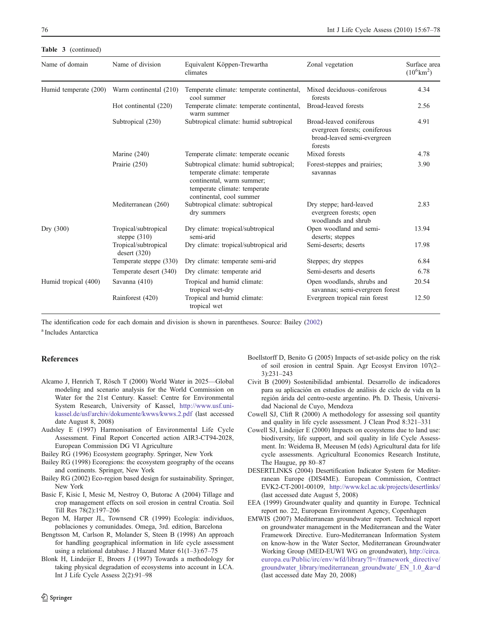<span id="page-9-0"></span>Table 3 (continued)

| Name of domain        | Name of division                       | Equivalent Köppen-Trewartha<br>climates                                                                                                                          | Zonal vegetation                                                                                   | Surface area<br>$(10^6 \text{km}^2)$ |
|-----------------------|----------------------------------------|------------------------------------------------------------------------------------------------------------------------------------------------------------------|----------------------------------------------------------------------------------------------------|--------------------------------------|
| Humid temperate (200) | Warm continental (210)                 | Temperate climate: temperate continental,<br>cool summer                                                                                                         | Mixed deciduous-coniferous<br>forests                                                              | 4.34                                 |
|                       | Hot continental (220)                  | Temperate climate: temperate continental,<br>warm summer                                                                                                         | Broad-leaved forests                                                                               | 2.56                                 |
|                       | Subtropical (230)                      | Subtropical climate: humid subtropical                                                                                                                           | Broad-leaved coniferous<br>evergreen forests; coniferous<br>broad-leaved semi-evergreen<br>forests | 4.91                                 |
|                       | Marine (240)                           | Temperate climate: temperate oceanic                                                                                                                             | Mixed forests                                                                                      | 4.78                                 |
|                       | Prairie (250)                          | Subtropical climate: humid subtropical;<br>temperate climate: temperate<br>continental, warm summer;<br>temperate climate: temperate<br>continental, cool summer | Forest-steppes and prairies;<br>savannas                                                           | 3.90                                 |
|                       | Mediterranean (260)                    | Subtropical climate: subtropical<br>dry summers                                                                                                                  | Dry steppe; hard-leaved<br>evergreen forests; open<br>woodlands and shrub                          | 2.83                                 |
| Dry (300)             | Tropical/subtropical<br>steppe $(310)$ | Dry climate: tropical/subtropical<br>semi-arid                                                                                                                   | Open woodland and semi-<br>deserts; steppes                                                        | 13.94                                |
|                       | Tropical/subtropical<br>desert $(320)$ | Dry climate: tropical/subtropical arid                                                                                                                           | Semi-deserts; deserts                                                                              | 17.98                                |
|                       | Temperate steppe (330)                 | Dry climate: temperate semi-arid                                                                                                                                 | Steppes; dry steppes                                                                               | 6.84                                 |
|                       | Temperate desert (340)                 | Dry climate: temperate arid                                                                                                                                      | Semi-deserts and deserts                                                                           | 6.78                                 |
| Humid tropical (400)  | Savanna (410)                          | Tropical and humid climate:<br>tropical wet-dry                                                                                                                  | Open woodlands, shrubs and<br>savannas; semi-evergreen forest                                      | 20.54                                |
|                       | Rainforest (420)                       | Tropical and humid climate:<br>tropical wet                                                                                                                      | Evergreen tropical rain forest                                                                     | 12.50                                |

The identification code for each domain and division is shown in parentheses. Source: Bailey (2002)

<sup>a</sup> Includes Antarctica

# References

- Alcamo J, Henrich T, Rösch T (2000) World Water in 2025—Global modeling and scenario analysis for the World Commission on Water for the 21st Century. Kassel: Centre for Environmental System Research, University of Kassel, [http://www.usf.uni](http://www.usf.uni-kassel.de/usf/archiv/dokumente/kwws/kwws.2.pdf)[kassel.de/usf/archiv/dokumente/kwws/kwws.2.pdf](http://www.usf.uni-kassel.de/usf/archiv/dokumente/kwws/kwws.2.pdf) (last accessed date August 8, 2008)
- Audsley E (1997) Harmonisation of Environmental Life Cycle Assessment. Final Report Concerted action AIR3-CT94-2028, European Commission DG VI Agriculture
- Bailey RG (1996) Ecosystem geography. Springer, New York
- Bailey RG (1998) Ecoregions: the ecosystem geography of the oceans and continents. Springer, New York
- Bailey RG (2002) Eco-region based design for sustainability. Springer, New York
- Basic F, Kisic I, Mesic M, Nestroy O, Butorac A (2004) Tillage and crop management effects on soil erosion in central Croatia. Soil Till Res 78(2):197–206
- Begon M, Harper JL, Townsend CR (1999) Ecología: individuos, poblaciones y comunidades. Omega, 3rd. edition, Barcelona
- Bengtsson M, Carlson R, Molander S, Steen B (1998) An approach for handling geographical information in life cycle assessment using a relational database. J Hazard Mater 61(1–3):67–75
- Blonk H, Lindeijer E, Broers J (1997) Towards a methodology for taking physical degradation of ecosystems into account in LCA. Int J Life Cycle Assess 2(2):91–98
- Boellstorff D, Benito G (2005) Impacts of set-aside policy on the risk of soil erosion in central Spain. Agr Ecosyst Environ 107(2– 3):231–243
- Civit B (2009) Sostenibilidad ambiental. Desarrollo de indicadores para su aplicación en estudios de análisis de ciclo de vida en la región árida del centro-oeste argentino. Ph. D. Thesis, Universidad Nacional de Cuyo, Mendoza
- Cowell SJ, Clift R (2000) A methodology for assessing soil quantity and quality in life cycle assessment. J Clean Prod 8:321–331
- Cowell SJ, Lindeijer E (2000) Impacts on ecosystems due to land use: biodiversity, life support, and soil quality in life Cycle Assessment. In: Weidema B, Meeusen M (eds) Agricultural data for life cycle assessments. Agricultural Economics Research Institute, The Haugue, pp 80–87
- DESERTLINKS (2004) Desertification Indicator System for Mediterranean Europe (DIS4ME). European Commission, Contract EVK2-CT-2001-00109, <http://www.kcl.ac.uk/projects/desertlinks/> (last accessed date August 5, 2008)
- EEA (1999) Groundwater quality and quantity in Europe. Technical report no. 22, European Environment Agency, Copenhagen
- EMWIS (2007) Mediterranean groundwater report. Technical report on groundwater management in the Mediterranean and the Water Framework Directive. Euro-Mediterranean Information System on know-how in the Water Sector, Mediterranean Groundwater Working Group (MED-EUWI WG on groundwater), [http://circa.](http://circa.europa.eu/Public/irc/env/wfd/library?l=/framework_directive/groundwater_library/mediterranean_groundwate/_EN_1.0_&a=d) [europa.eu/Public/irc/env/wfd/library?l=/framework\\_directive/](http://circa.europa.eu/Public/irc/env/wfd/library?l=/framework_directive/groundwater_library/mediterranean_groundwate/_EN_1.0_&a=d) [groundwater\\_library/mediterranean\\_groundwate/\\_EN\\_1.0\\_&a=d](http://circa.europa.eu/Public/irc/env/wfd/library?l=/framework_directive/groundwater_library/mediterranean_groundwate/_EN_1.0_&a=d) (last accessed date May 20, 2008)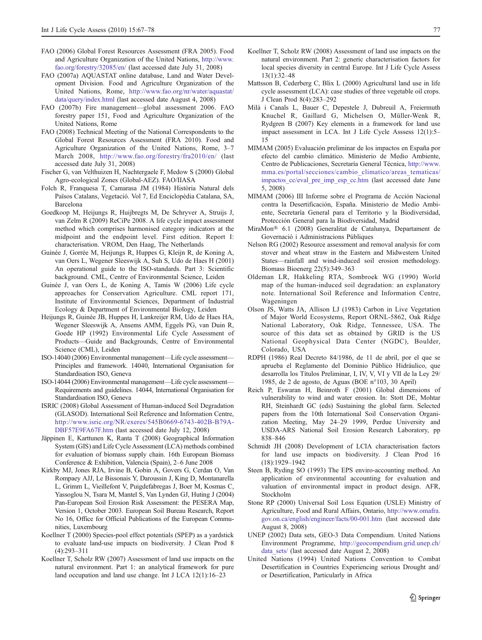- <span id="page-10-0"></span>FAO (2006) Global Forest Resources Assessment (FRA 2005). Food and Agriculture Organization of the United Nations, [http://www.](http://www.fao.org/forestry/32085/en/) [fao.org/forestry/32085/en/](http://www.fao.org/forestry/32085/en/) (last accessed date July 31, 2008)
- FAO (2007a) AQUASTAT online database, Land and Water Development Division. Food and Agriculture Organization of the United Nations, Rome, [http://www.fao.org/nr/water/aquastat/](http://www.fao.org/nr/water/aquastat/data/query/index.html) [data/query/index.html](http://www.fao.org/nr/water/aquastat/data/query/index.html) (last accessed date August 4, 2008)
- FAO (2007b) Fire management—global assessment 2006. FAO forestry paper 151, Food and Agriculture Organization of the United Nations, Rome
- FAO (2008) Technical Meeting of the National Correspondents to the Global Forest Resources Assessment (FRA 2010). Food and Agriculture Organization of the United Nations, Rome, 3–7 March 2008, <http://www.fao.org/forestry/fra2010/en/> (last accessed date July 31, 2008)
- Fischer G, van Velthuizen H, Nachtergaele F, Medow S (2000) Global Agro-ecological Zones (Global-AEZ). FAO/IIASA
- Folch R, Franquesa T, Camarasa JM (1984) Història Natural dels Països Catalans, Vegetació. Vol 7, Ed Enciclopèdia Catalana, SA, Barcelona
- Goedkoop M, Heijungs R, Huijbregts M, De Schryver A, Struijs J, van Zelm R (2009) ReCiPe 2008. A life cycle impact assessment method which comprises harmonised category indicators at the midpoint and the endpoint level. First edition. Report I: characterisation. VROM, Den Haag, The Netherlands
- Guinée J, Gorrée M, Heijungs R, Huppes G, Kleijn R, de Koning A, van Oers L, Wegener Sleeswijk A, Suh S, Udo de Haes H (2001) An operational guide to the ISO-standards. Part 3: Scientific background. CML, Centre of Environmental Science, Leiden
- Guinée J, van Oers L, de Koning A, Tamis W (2006) Life cycle approaches for Conservation Agriculture. CML report 171, Institute of Environmental Sciences, Department of Industrial Ecology & Department of Environmental Biology, Leiden
- Heijungs R, Guinée JB, Huppes H, Lankreijer RM, Udo de Haes HA, Wegener Sleeswijk A, Ansems AMM, Eggels PG, van Duin R, Goede HP (1992) Environmental Life Cycle Assessment of Products—Guide and Backgrounds, Centre of Environmental Science (CML), Leiden
- ISO-14040 (2006) Environmental management—Life cycle assessment— Principles and framework. 14040, International Organisation for Standardisation ISO, Geneva
- ISO-14044 (2006) Environmental management—Life cycle assessment— Requirements and guidelines. 14044, International Organisation for Standardisation ISO, Geneva
- ISRIC (2008) Global Assessment of Human-induced Soil Degradation (GLASOD). International Soil Reference and Information Centre, [http://www.isric.org/NR/exeres/545B0669-6743-402B-B79A-](http://www.isric.org/NR/exeres/545B0669-6743-402B-B79A-DBF57E9FA67F.htm)[DBF57E9FA67F.htm](http://www.isric.org/NR/exeres/545B0669-6743-402B-B79A-DBF57E9FA67F.htm) (last accessed date July 12, 2008)
- Jäppinen E, Karttunen K, Ranta T (2008) Geographical Information System (GIS) and Life Cycle Assessment (LCA) methods combined for evaluation of biomass supply chain. 16th European Biomass Conference & Exhibition, Valencia (Spain), 2–6 June 2008
- Kirkby MJ, Jones RJA, Irvine B, Gobin A, Govers G, Cerdan O, Van Rompaey AJJ, Le Bissonais Y, Daroussin J, King D, Montanarella L, Grimm L, Vieillefont V, Puigdefabregas J, Boer M, Kosmas C, Yassoglou N, Tsara M, Mantel S, Van Lynden GJ, Huting J (2004) Pan-European Soil Erosion Risk Assessment: the PESERA Map, Version 1, October 2003. European Soil Bureau Research, Report No 16, Office for Official Publications of the European Communities, Luxembourg
- Koellner T (2000) Species-pool effect potentials (SPEP) as a yardstick to evaluate land-use impacts on biodiversity. J Clean Prod 8 (4):293–311
- Koellner T, Scholz RW (2007) Assessment of land use impacts on the natural environment. Part 1: an analytical framework for pure land occupation and land use change. Int J LCA 12(1):16–23
- Koellner T, Scholz RW (2008) Assessment of land use impacts on the natural environment. Part 2: generic characterisation factors for local species diversity in central Europe. Int J Life Cycle Assess 13(1):32–48
- Mattsson B, Cederberg C, Blix L (2000) Agricultural land use in life cycle assessment (LCA): case studies of three vegetable oil crops. J Clean Prod 8(4):283–292
- Milà i Canals L, Bauer C, Depestele J, Dubreuil A, Freiermuth Knuchel R, Gaillard G, Michelsen O, Müller-Wenk R, Rydgren B (2007) Key elements in a framework for land use impact assessment in LCA. Int J Life Cycle Asssess 12(1):5– 15
- MIMAM (2005) Evaluación preliminar de los impactos en España por efecto del cambio climático. Ministerio de Medio Ambiente, Centro de Publicaciones, Secretaría General Técnica, [http://www.](http://www.mma.es/portal/secciones/cambio_climatico/areas_tematicas/impactos_cc/eval_pre_imp_esp_cc.htm) [mma.es/portal/secciones/cambio\\_climatico/areas\\_tematicas/](http://www.mma.es/portal/secciones/cambio_climatico/areas_tematicas/impactos_cc/eval_pre_imp_esp_cc.htm) [impactos\\_cc/eval\\_pre\\_imp\\_esp\\_cc.htm](http://www.mma.es/portal/secciones/cambio_climatico/areas_tematicas/impactos_cc/eval_pre_imp_esp_cc.htm) (last accessed date June 5, 2008)
- MIMAM (2006) III Informe sobre el Programa de Acción Nacional contra la Desertificación, España. Ministerio de Medio Ambiente, Secretaría General para el Territorio y la Biodiversidad, Protección General para la Biodiversidad, Madrid
- MiraMon® 6.1 (2008) Generalitat de Catalunya, Departament de Governació i Administracions Públiques
- Nelson RG (2002) Resource assessment and removal analysis for corn stover and wheat straw in the Eastern and Midwestern United States—rainfall and wind-induced soil erosion methodology. Biomass Bioenerg 22(5):349–363
- Oldeman LR, Hakkeling RTA, Sombroek WG (1990) World map of the human-induced soil degradation: an explanatory note. International Soil Reference and Information Centre, Wageningen
- Olson JS, Watts JA, Allison LJ (1983) Carbon in Live Vegetation of Major World Ecosystems, Report ORNL-5862, Oak Ridge National Laboratory, Oak Ridge, Tennessee, USA. The source of this data set as obtained by GRID is the US National Geophysical Data Center (NGDC), Boulder, Colorado, USA
- RDPH (1986) Real Decreto 84/1986, de 11 de abril, por el que se aprueba el Reglamento del Dominio Público Hidráulico, que desarrolla los Títulos Preliminar, I, IV, V, VI y VII de la Ley 29/ 1985, de 2 de agosto, de Aguas (BOE n°103, 30 April)
- Reich P, Eswaran H, Beinroth F (2001) Global dimensions of vulnerability to wind and water erosion. In: Stott DE, Mohtar RH, Steinhardt GC (eds) Sustaining the global farm. Selected papers from the 10th International Soil Conservation Organization Meeting, May 24–29 1999, Perdue University and USDA-ARS National Soil Erosion Research Laboratory, pp 838–846
- Schmidt JH (2008) Development of LCIA characterisation factors for land use impacts on biodiversity. J Clean Prod 16 (18):1929–1942
- Steen B, Ryding SO (1993) The EPS enviro-accounting method. An application of environmental accounting for evaluation and valuation of environmental impact in product design. AFR, Stockholm
- Stone RP (2000) Universal Soil Loss Equation (USLE) Ministry of Agriculture, Food and Rural Affairs, Ontario, [http://www.omafra.](http://www.omafra.gov.on.ca/english/engineer/facts/00-001.htm) [gov.on.ca/english/engineer/facts/00-001.htm](http://www.omafra.gov.on.ca/english/engineer/facts/00-001.htm) (last accessed date August 8, 2008)
- UNEP (2002) Data sets, GEO-3 Data Compendium. United Nations Environment Programme, [http://geocompendium.grid.unep.ch/](http://geocompendium.grid.unep.ch/data_sets/) [data\\_sets/](http://geocompendium.grid.unep.ch/data_sets/) (last accessed date August 2, 2008)
- United Nations (1994) United Nations Convention to Combat Desertification in Countries Experiencing serious Drought and/ or Desertification, Particularly in Africa